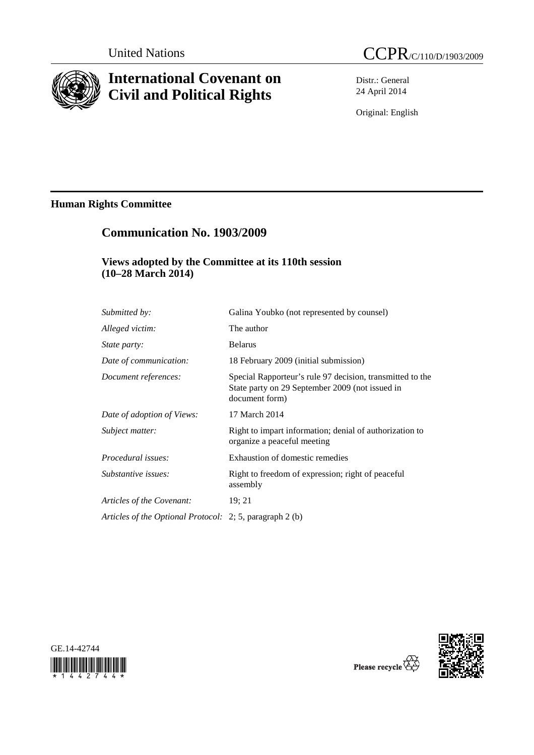

# **International Covenant on Civil and Political Rights**

Distr.: General 24 April 2014

Original: English

# **Human Rights Committee**

# **Communication No. 1903/2009**

### **Views adopted by the Committee at its 110th session (10–28 March 2014)**

| Submitted by:                                            | Galina Youbko (not represented by counsel)                                                                                     |
|----------------------------------------------------------|--------------------------------------------------------------------------------------------------------------------------------|
| Alleged victim:                                          | The author                                                                                                                     |
| <i>State party:</i>                                      | <b>Belarus</b>                                                                                                                 |
| Date of communication:                                   | 18 February 2009 (initial submission)                                                                                          |
| Document references:                                     | Special Rapporteur's rule 97 decision, transmitted to the<br>State party on 29 September 2009 (not issued in<br>document form) |
| Date of adoption of Views:                               | 17 March 2014                                                                                                                  |
| Subject matter:                                          | Right to impart information; denial of authorization to<br>organize a peaceful meeting                                         |
| <i>Procedural issues:</i>                                | Exhaustion of domestic remedies                                                                                                |
| Substantive issues:                                      | Right to freedom of expression; right of peaceful<br>assembly                                                                  |
| Articles of the Covenant:                                | 19; 21                                                                                                                         |
| Articles of the Optional Protocol: 2; 5, paragraph 2 (b) |                                                                                                                                |





Please recycle  $\overline{\mathbb{Q}}$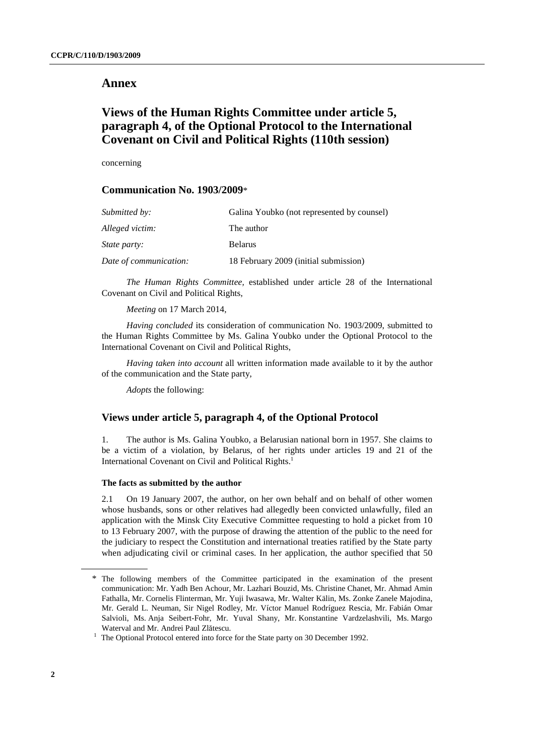### **Annex**

## **Views of the Human Rights Committee under article 5, paragraph 4, of the Optional Protocol to the International Covenant on Civil and Political Rights (110th session)**

concerning

### **Communication No. 1903/2009**\*

| <i>Submitted by:</i>   | Galina Youbko (not represented by counsel) |
|------------------------|--------------------------------------------|
| Alleged victim:        | The author                                 |
| <i>State party:</i>    | <b>Belarus</b>                             |
| Date of communication: | 18 February 2009 (initial submission)      |

*The Human Rights Committee,* established under article 28 of the International Covenant on Civil and Political Rights,

*Meeting* on 17 March 2014,

*Having concluded* its consideration of communication No. 1903/2009, submitted to the Human Rights Committee by Ms. Galina Youbko under the Optional Protocol to the International Covenant on Civil and Political Rights,

*Having taken into account* all written information made available to it by the author of the communication and the State party,

*Adopts* the following:

### **Views under article 5, paragraph 4, of the Optional Protocol**

1. The author is Ms. Galina Youbko, a Belarusian national born in 1957. She claims to be a victim of a violation, by Belarus, of her rights under articles 19 and 21 of the International Covenant on Civil and Political Rights.<sup>1</sup>

#### **The facts as submitted by the author**

2.1 On 19 January 2007, the author, on her own behalf and on behalf of other women whose husbands, sons or other relatives had allegedly been convicted unlawfully, filed an application with the Minsk City Executive Committee requesting to hold a picket from 10 to 13 February 2007, with the purpose of drawing the attention of the public to the need for the judiciary to respect the Constitution and international treaties ratified by the State party when adjudicating civil or criminal cases. In her application, the author specified that 50

<sup>\*</sup> The following members of the Committee participated in the examination of the present communication: Mr. Yadh Ben Achour, Mr. Lazhari Bouzid, Ms. Christine Chanet, Mr. Ahmad Amin Fathalla, Mr. Cornelis Flinterman, Mr. Yuji Iwasawa, Mr. Walter Kälin, Ms. Zonke Zanele Majodina, Mr. Gerald L. Neuman, Sir Nigel Rodley, Mr. Víctor Manuel Rodríguez Rescia, Mr. Fabián Omar Salvioli, Ms. Anja Seibert-Fohr, Mr. Yuval Shany, Mr. Konstantine Vardzelashvili, Ms. Margo Waterval and Mr. Andrei Paul Zl<sup>ă</sup>tescu. 1

 $1$  The Optional Protocol entered into force for the State party on 30 December 1992.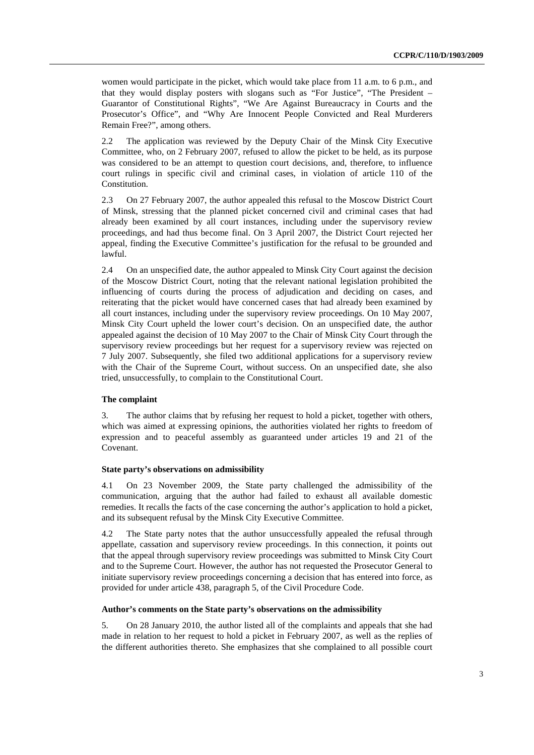women would participate in the picket, which would take place from 11 a.m. to 6 p.m., and that they would display posters with slogans such as "For Justice", "The President – Guarantor of Constitutional Rights", "We Are Against Bureaucracy in Courts and the Prosecutor's Office", and "Why Are Innocent People Convicted and Real Murderers Remain Free?", among others.

2.2 The application was reviewed by the Deputy Chair of the Minsk City Executive Committee, who, on 2 February 2007, refused to allow the picket to be held, as its purpose was considered to be an attempt to question court decisions, and, therefore, to influence court rulings in specific civil and criminal cases, in violation of article 110 of the Constitution.

2.3 On 27 February 2007, the author appealed this refusal to the Moscow District Court of Minsk, stressing that the planned picket concerned civil and criminal cases that had already been examined by all court instances, including under the supervisory review proceedings, and had thus become final. On 3 April 2007, the District Court rejected her appeal, finding the Executive Committee's justification for the refusal to be grounded and lawful.

2.4 On an unspecified date, the author appealed to Minsk City Court against the decision of the Moscow District Court, noting that the relevant national legislation prohibited the influencing of courts during the process of adjudication and deciding on cases, and reiterating that the picket would have concerned cases that had already been examined by all court instances, including under the supervisory review proceedings. On 10 May 2007, Minsk City Court upheld the lower court's decision. On an unspecified date, the author appealed against the decision of 10 May 2007 to the Chair of Minsk City Court through the supervisory review proceedings but her request for a supervisory review was rejected on 7 July 2007. Subsequently, she filed two additional applications for a supervisory review with the Chair of the Supreme Court, without success. On an unspecified date, she also tried, unsuccessfully, to complain to the Constitutional Court.

#### **The complaint**

3. The author claims that by refusing her request to hold a picket, together with others, which was aimed at expressing opinions, the authorities violated her rights to freedom of expression and to peaceful assembly as guaranteed under articles 19 and 21 of the Covenant.

#### **State party's observations on admissibility**

4.1 On 23 November 2009, the State party challenged the admissibility of the communication, arguing that the author had failed to exhaust all available domestic remedies. It recalls the facts of the case concerning the author's application to hold a picket, and its subsequent refusal by the Minsk City Executive Committee.

4.2 The State party notes that the author unsuccessfully appealed the refusal through appellate, cassation and supervisory review proceedings. In this connection, it points out that the appeal through supervisory review proceedings was submitted to Minsk City Court and to the Supreme Court. However, the author has not requested the Prosecutor General to initiate supervisory review proceedings concerning a decision that has entered into force, as provided for under article 438, paragraph 5, of the Civil Procedure Code.

#### **Author's comments on the State party's observations on the admissibility**

5. On 28 January 2010, the author listed all of the complaints and appeals that she had made in relation to her request to hold a picket in February 2007, as well as the replies of the different authorities thereto. She emphasizes that she complained to all possible court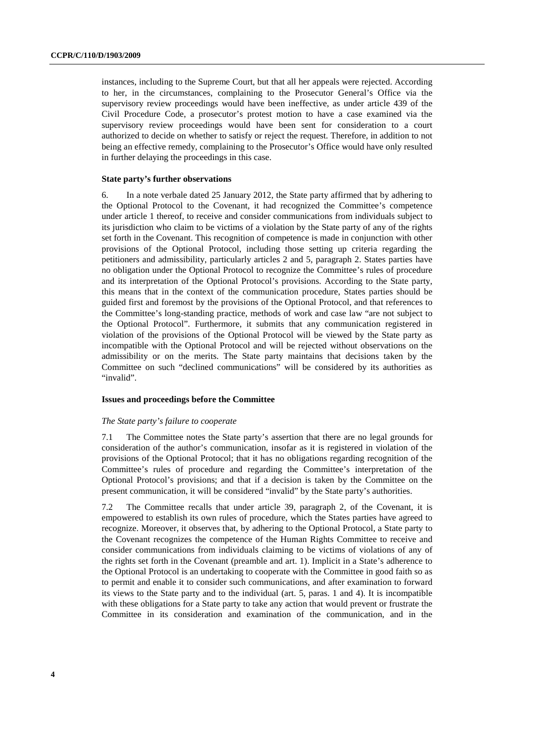instances, including to the Supreme Court, but that all her appeals were rejected. According to her, in the circumstances, complaining to the Prosecutor General's Office via the supervisory review proceedings would have been ineffective, as under article 439 of the Civil Procedure Code, a prosecutor's protest motion to have a case examined via the supervisory review proceedings would have been sent for consideration to a court authorized to decide on whether to satisfy or reject the request. Therefore, in addition to not being an effective remedy, complaining to the Prosecutor's Office would have only resulted in further delaying the proceedings in this case.

#### **State party's further observations**

6. In a note verbale dated 25 January 2012, the State party affirmed that by adhering to the Optional Protocol to the Covenant, it had recognized the Committee's competence under article 1 thereof, to receive and consider communications from individuals subject to its jurisdiction who claim to be victims of a violation by the State party of any of the rights set forth in the Covenant. This recognition of competence is made in conjunction with other provisions of the Optional Protocol, including those setting up criteria regarding the petitioners and admissibility, particularly articles 2 and 5, paragraph 2. States parties have no obligation under the Optional Protocol to recognize the Committee's rules of procedure and its interpretation of the Optional Protocol's provisions. According to the State party, this means that in the context of the communication procedure, States parties should be guided first and foremost by the provisions of the Optional Protocol, and that references to the Committee's long-standing practice, methods of work and case law "are not subject to the Optional Protocol". Furthermore, it submits that any communication registered in violation of the provisions of the Optional Protocol will be viewed by the State party as incompatible with the Optional Protocol and will be rejected without observations on the admissibility or on the merits. The State party maintains that decisions taken by the Committee on such "declined communications" will be considered by its authorities as "invalid".

#### **Issues and proceedings before the Committee**

#### *The State party's failure to cooperate*

7.1 The Committee notes the State party's assertion that there are no legal grounds for consideration of the author's communication, insofar as it is registered in violation of the provisions of the Optional Protocol; that it has no obligations regarding recognition of the Committee's rules of procedure and regarding the Committee's interpretation of the Optional Protocol's provisions; and that if a decision is taken by the Committee on the present communication, it will be considered "invalid" by the State party's authorities.

7.2 The Committee recalls that under article 39, paragraph 2, of the Covenant, it is empowered to establish its own rules of procedure, which the States parties have agreed to recognize. Moreover, it observes that, by adhering to the Optional Protocol, a State party to the Covenant recognizes the competence of the Human Rights Committee to receive and consider communications from individuals claiming to be victims of violations of any of the rights set forth in the Covenant (preamble and art. 1). Implicit in a State's adherence to the Optional Protocol is an undertaking to cooperate with the Committee in good faith so as to permit and enable it to consider such communications, and after examination to forward its views to the State party and to the individual (art. 5, paras. 1 and 4). It is incompatible with these obligations for a State party to take any action that would prevent or frustrate the Committee in its consideration and examination of the communication, and in the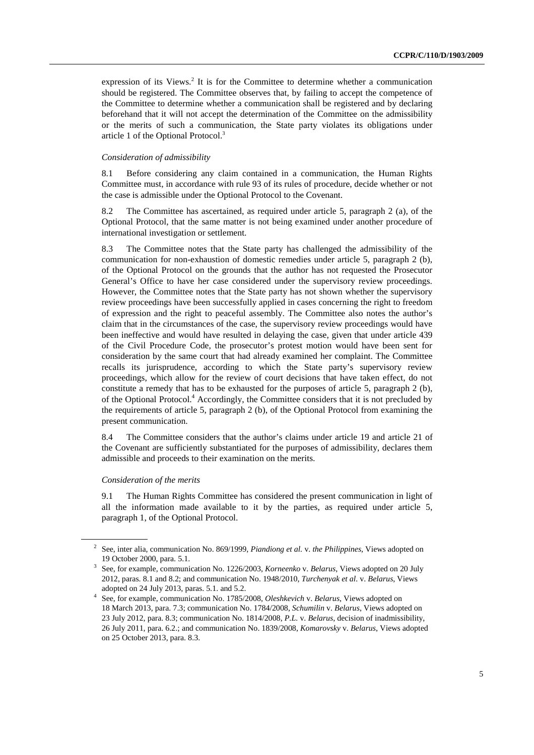expression of its Views.<sup>2</sup> It is for the Committee to determine whether a communication should be registered. The Committee observes that, by failing to accept the competence of the Committee to determine whether a communication shall be registered and by declaring beforehand that it will not accept the determination of the Committee on the admissibility or the merits of such a communication, the State party violates its obligations under article 1 of the Optional Protocol.3

#### *Consideration of admissibility*

8.1 Before considering any claim contained in a communication, the Human Rights Committee must, in accordance with rule 93 of its rules of procedure, decide whether or not the case is admissible under the Optional Protocol to the Covenant.

8.2 The Committee has ascertained, as required under article 5, paragraph 2 (a), of the Optional Protocol, that the same matter is not being examined under another procedure of international investigation or settlement.

8.3 The Committee notes that the State party has challenged the admissibility of the communication for non-exhaustion of domestic remedies under article 5, paragraph 2 (b), of the Optional Protocol on the grounds that the author has not requested the Prosecutor General's Office to have her case considered under the supervisory review proceedings. However, the Committee notes that the State party has not shown whether the supervisory review proceedings have been successfully applied in cases concerning the right to freedom of expression and the right to peaceful assembly. The Committee also notes the author's claim that in the circumstances of the case, the supervisory review proceedings would have been ineffective and would have resulted in delaying the case, given that under article 439 of the Civil Procedure Code, the prosecutor's protest motion would have been sent for consideration by the same court that had already examined her complaint. The Committee recalls its jurisprudence, according to which the State party's supervisory review proceedings, which allow for the review of court decisions that have taken effect, do not constitute a remedy that has to be exhausted for the purposes of article 5, paragraph 2 (b), of the Optional Protocol.<sup>4</sup> Accordingly, the Committee considers that it is not precluded by the requirements of article 5, paragraph 2 (b), of the Optional Protocol from examining the present communication.

8.4 The Committee considers that the author's claims under article 19 and article 21 of the Covenant are sufficiently substantiated for the purposes of admissibility, declares them admissible and proceeds to their examination on the merits.

#### *Consideration of the merits*

9.1 The Human Rights Committee has considered the present communication in light of all the information made available to it by the parties, as required under article 5, paragraph 1, of the Optional Protocol.

<sup>2</sup> See, inter alia, communication No. 869/1999, *Piandiong et al.* v. *the Philippines*, Views adopted on

<sup>19</sup> October 2000, para. 5.1. 3 See, for example, communication No. 1226/2003, *Korneenko* v. *Belarus*, Views adopted on 20 July 2012, paras. 8.1 and 8.2; and communication No. 1948/2010, *Turchenyak et al.* v. *Belarus*, Views

adopted on 24 July 2013, paras. 5.1. and 5.2. 4 See, for example, communication No. 1785/2008, *Oleshkevich* v. *Belarus*, Views adopted on 18 March 2013, para. 7.3; communication No. 1784/2008, *Schumilin* v. *Belarus*, Views adopted on 23 July 2012, para. 8.3; communication No. 1814/2008, *P.L.* v. *Belarus*, decision of inadmissibility, 26 July 2011, para. 6.2.; and communication No. 1839/2008, *Komarovsky* v. *Belarus*, Views adopted on 25 October 2013, para. 8.3.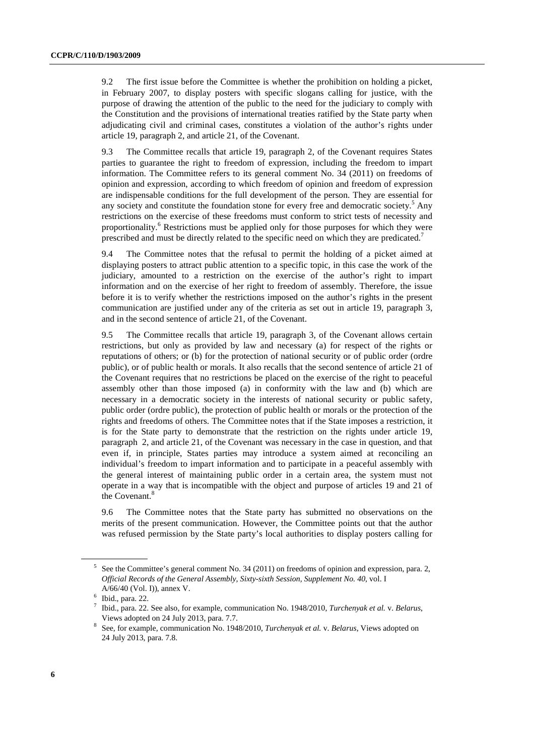9.2 The first issue before the Committee is whether the prohibition on holding a picket, in February 2007, to display posters with specific slogans calling for justice, with the purpose of drawing the attention of the public to the need for the judiciary to comply with the Constitution and the provisions of international treaties ratified by the State party when adjudicating civil and criminal cases, constitutes a violation of the author's rights under article 19, paragraph 2, and article 21, of the Covenant.

9.3 The Committee recalls that article 19, paragraph 2, of the Covenant requires States parties to guarantee the right to freedom of expression, including the freedom to impart information. The Committee refers to its general comment No. 34 (2011) on freedoms of opinion and expression, according to which freedom of opinion and freedom of expression are indispensable conditions for the full development of the person. They are essential for any society and constitute the foundation stone for every free and democratic society.<sup>5</sup> Any restrictions on the exercise of these freedoms must conform to strict tests of necessity and proportionality.<sup>6</sup> Restrictions must be applied only for those purposes for which they were prescribed and must be directly related to the specific need on which they are predicated.<sup>7</sup>

9.4 The Committee notes that the refusal to permit the holding of a picket aimed at displaying posters to attract public attention to a specific topic, in this case the work of the judiciary, amounted to a restriction on the exercise of the author's right to impart information and on the exercise of her right to freedom of assembly. Therefore, the issue before it is to verify whether the restrictions imposed on the author's rights in the present communication are justified under any of the criteria as set out in article 19, paragraph 3, and in the second sentence of article 21, of the Covenant.

9.5 The Committee recalls that article 19, paragraph 3, of the Covenant allows certain restrictions, but only as provided by law and necessary (a) for respect of the rights or reputations of others; or (b) for the protection of national security or of public order (ordre public), or of public health or morals. It also recalls that the second sentence of article 21 of the Covenant requires that no restrictions be placed on the exercise of the right to peaceful assembly other than those imposed (a) in conformity with the law and (b) which are necessary in a democratic society in the interests of national security or public safety, public order (ordre public), the protection of public health or morals or the protection of the rights and freedoms of others. The Committee notes that if the State imposes a restriction, it is for the State party to demonstrate that the restriction on the rights under article 19, paragraph 2, and article 21, of the Covenant was necessary in the case in question, and that even if, in principle, States parties may introduce a system aimed at reconciling an individual's freedom to impart information and to participate in a peaceful assembly with the general interest of maintaining public order in a certain area, the system must not operate in a way that is incompatible with the object and purpose of articles 19 and 21 of the Covenant.<sup>8</sup>

9.6 The Committee notes that the State party has submitted no observations on the merits of the present communication. However, the Committee points out that the author was refused permission by the State party's local authorities to display posters calling for

<sup>&</sup>lt;sup>5</sup> See the Committee's general comment No. 34 (2011) on freedoms of opinion and expression, para. 2, *Official Records of the General Assembly, Sixty-sixth Session, Supplement No. 40*, vol. I A/66/40 (Vol. I)), annex V.

 $6$  Ibid., para. 22.

<sup>7</sup> Ibid., para. 22. See also, for example, communication No. 1948/2010, *Turchenyak et al.* v. *Belarus*,

Views adopted on 24 July 2013, para. 7.7. 8 See, for example, communication No. 1948/2010, *Turchenyak et al.* v. *Belarus*, Views adopted on 24 July 2013, para. 7.8.